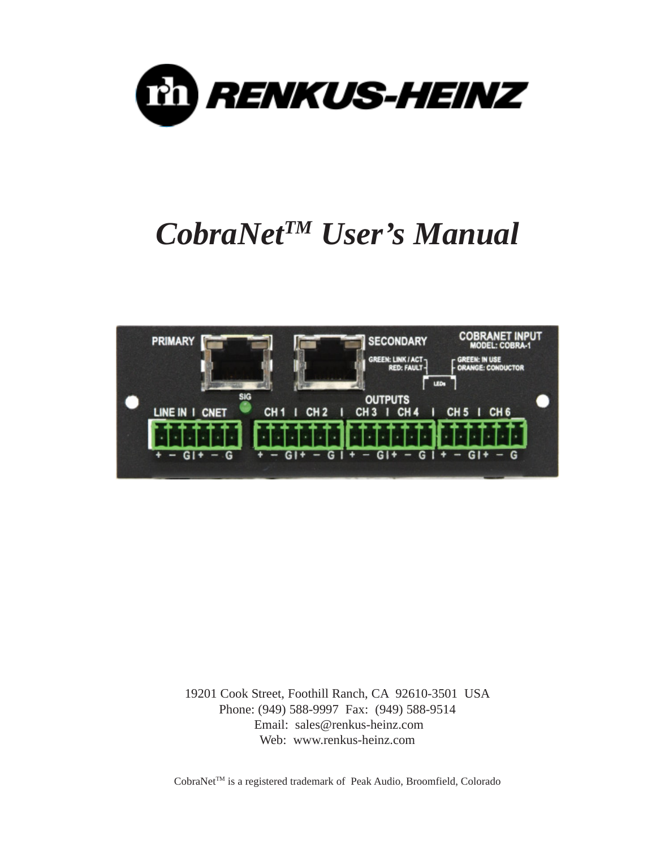



19201 Cook Street, Foothill Ranch, CA 92610-3501 USA Phone: (949) 588-9997 Fax: (949) 588-9514 Email: sales@renkus-heinz.com Web: www.renkus-heinz.com

CobraNet<sup>™</sup> is a registered trademark of Peak Audio, Broomfield, Colorado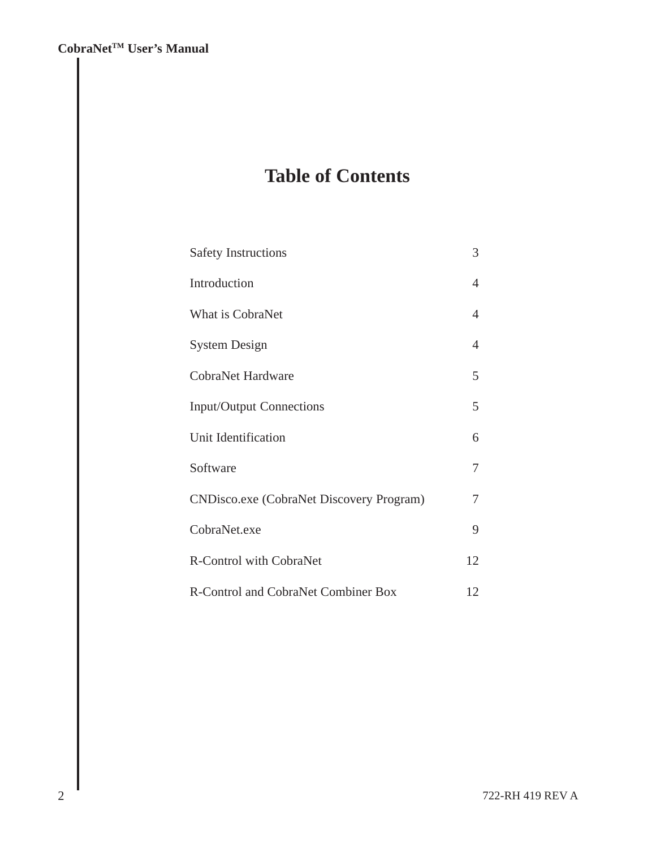# **Table of Contents**

| <b>Safety Instructions</b>                       | 3              |
|--------------------------------------------------|----------------|
| Introduction                                     | 4              |
| What is CobraNet                                 | $\overline{4}$ |
| <b>System Design</b>                             | 4              |
| <b>CobraNet Hardware</b>                         | 5              |
| <b>Input/Output Connections</b>                  | 5              |
| Unit Identification                              | 6              |
| Software                                         | 7              |
| <b>CND</b> isco.exe (CobraNet Discovery Program) | 7              |
| CobraNet.exe                                     | 9              |
| <b>R-Control with CobraNet</b>                   | 12             |
| R-Control and CobraNet Combiner Box              | 12             |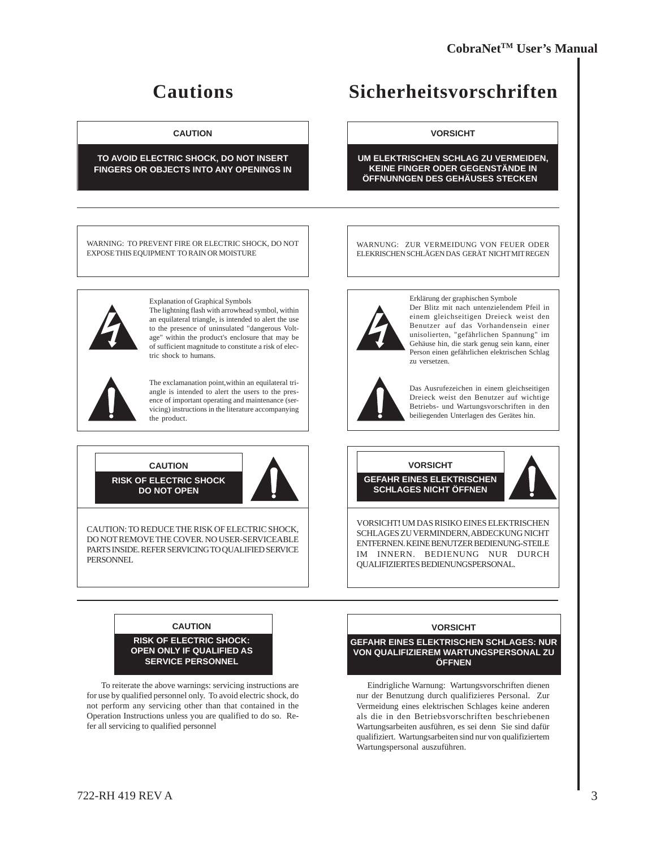# **Cautions**

#### **CAUTION**

#### **TO AVOID ELECTRIC SHOCK, DO NOT INSERT FINGERS OR OBJECTS INTO ANY OPENINGS IN**

WARNING: TO PREVENT FIRE OR ELECTRIC SHOCK, DO NOT EXPOSE THIS EQUIPMENT TO RAIN OR MOISTURE



Explanation of Graphical Symbols The lightning flash with arrowhead symbol, within an equilateral triangle, is intended to alert the use to the presence of uninsulated "dangerous Voltage" within the product's enclosure that may be of sufficient magnitude to constitute a risk of electric shock to humans.



The exclamanation point,within an equilateral triangle is intended to alert the users to the presence of important operating and maintenance (servicing) instructions in the literature accompanying the product.

# **CAUTION**

**RISK OF ELECTRIC SHOCK DO NOT OPEN**



CAUTION: TO REDUCE THE RISK OF ELECTRIC SHOCK, DO NOT REMOVE THE COVER. NO USER-SERVICEABLE PARTS INSIDE. REFER SERVICING TO QUALIFIED SERVICE PERSONNEL



**VORSICHT**

**UM ELEKTRISCHEN SCHLAG ZU VERMEIDEN, KEINE FINGER ODER GEGENSTÄNDE IN** ÖFFNUNNGEN DES GEHÄUSES STECKEN

WARNUNG: ZUR VERMEIDUNG VON FEUER ODER ELEKRISCHEN SCHLÄGEN DAS GERÄT NICHT MIT REGEN



Erklärung der graphischen Symbole Der Blitz mit nach untenzielendem Pfeil in einem gleichseitigen Dreieck weist den Benutzer auf das Vorhandensein einer unisolierten, "gefährlichen Spannung" im Gehäuse hin, die stark genug sein kann, einer Person einen gefährlichen elektrischen Schlag zu versetzen.



Das Ausrufezeichen in einem gleichseitigen Dreieck weist den Benutzer auf wichtige Betriebs- und Wartungsvorschriften in den beiliegenden Unterlagen des Gerätes hin.





VORSICHT**!** UM DAS RISIKO EINES ELEKTRISCHEN SCHLAGES ZU VERMINDERN, ABDECKUNG NICHT ENTFERNEN. KEINE BENUTZER BEDIENUNG-STEILE IM INNERN. BEDIENUNG NUR DURCH QUALIFIZIERTES BEDIENUNGSPERSONAL.



 To reiterate the above warnings: servicing instructions are for use by qualified personnel only. To avoid electric shock, do not perform any servicing other than that contained in the Operation Instructions unless you are qualified to do so. Refer all servicing to qualified personnel

#### **VORSICHT**

**GEFAHR EINES ELEKTRISCHEN SCHLAGES: NUR VON QUALIFIZIEREM WARTUNGSPERSONAL ZU ÖFFNEN**

 Eindrigliche Warnung: Wartungsvorschriften dienen nur der Benutzung durch qualifizieres Personal. Zur Vermeidung eines elektrischen Schlages keine anderen als die in den Betriebsvorschriften beschriebenen Wartungsarbeiten ausführen, es sei denn Sie sind dafür qualifiziert. Wartungsarbeiten sind nur von qualifiziertem Wartungspersonal auszuführen.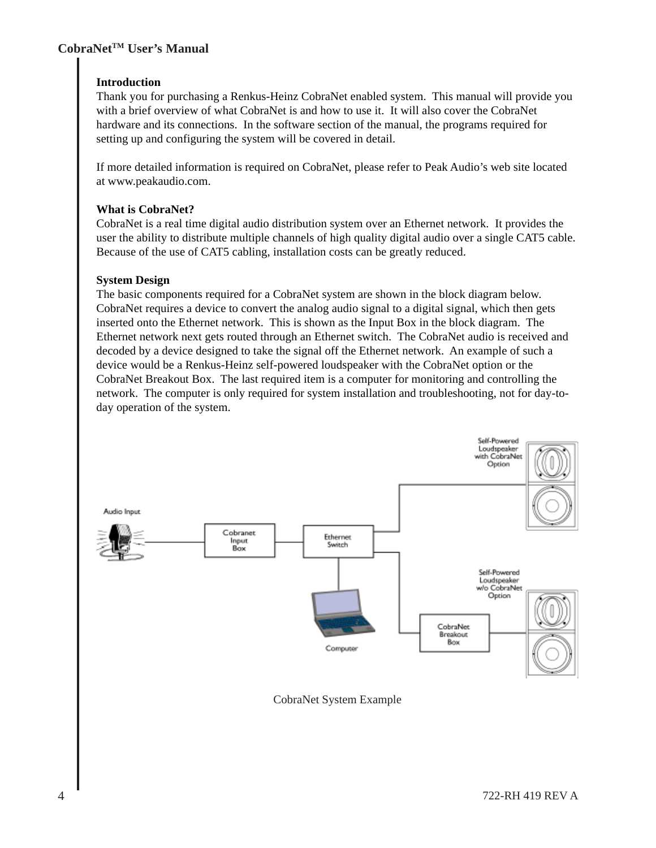#### **Introduction**

Thank you for purchasing a Renkus-Heinz CobraNet enabled system. This manual will provide you with a brief overview of what CobraNet is and how to use it. It will also cover the CobraNet hardware and its connections. In the software section of the manual, the programs required for setting up and configuring the system will be covered in detail.

If more detailed information is required on CobraNet, please refer to Peak Audio's web site located at www.peakaudio.com.

#### **What is CobraNet?**

CobraNet is a real time digital audio distribution system over an Ethernet network. It provides the user the ability to distribute multiple channels of high quality digital audio over a single CAT5 cable. Because of the use of CAT5 cabling, installation costs can be greatly reduced.

#### **System Design**

The basic components required for a CobraNet system are shown in the block diagram below. CobraNet requires a device to convert the analog audio signal to a digital signal, which then gets inserted onto the Ethernet network. This is shown as the Input Box in the block diagram. The Ethernet network next gets routed through an Ethernet switch. The CobraNet audio is received and decoded by a device designed to take the signal off the Ethernet network. An example of such a device would be a Renkus-Heinz self-powered loudspeaker with the CobraNet option or the CobraNet Breakout Box. The last required item is a computer for monitoring and controlling the network. The computer is only required for system installation and troubleshooting, not for day-today operation of the system.



CobraNet System Example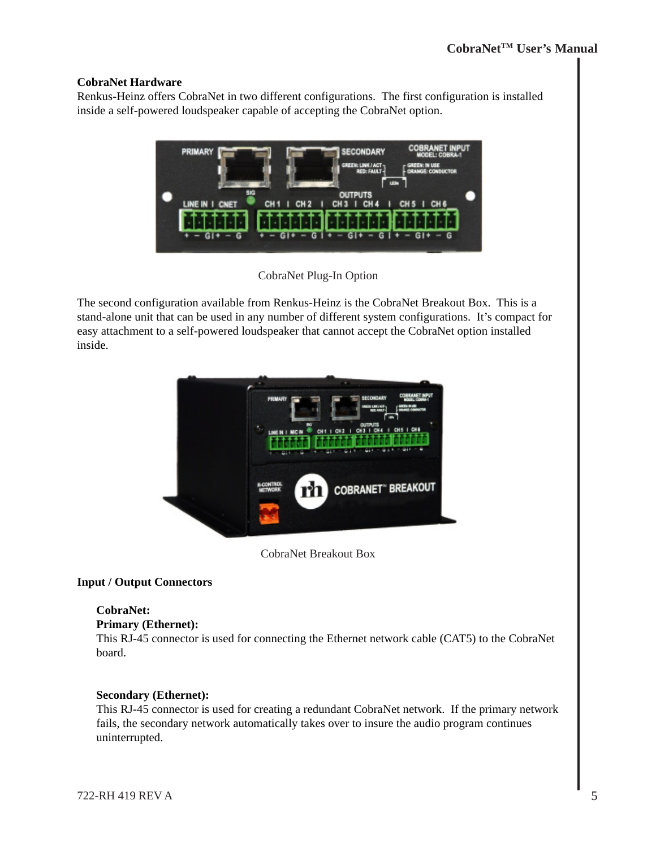#### **CobraNet Hardware**

Renkus-Heinz offers CobraNet in two different configurations. The first configuration is installed inside a self-powered loudspeaker capable of accepting the CobraNet option.



CobraNet Plug-In Option

The second configuration available from Renkus-Heinz is the CobraNet Breakout Box. This is a stand-alone unit that can be used in any number of different system configurations. It's compact for easy attachment to a self-powered loudspeaker that cannot accept the CobraNet option installed inside.



CobraNet Breakout Box

#### **Input / Output Connectors**

#### **CobraNet:**

#### **Primary (Ethernet):**

This RJ-45 connector is used for connecting the Ethernet network cable (CAT5) to the CobraNet board.

#### **Secondary (Ethernet):**

This RJ-45 connector is used for creating a redundant CobraNet network. If the primary network fails, the secondary network automatically takes over to insure the audio program continues uninterrupted.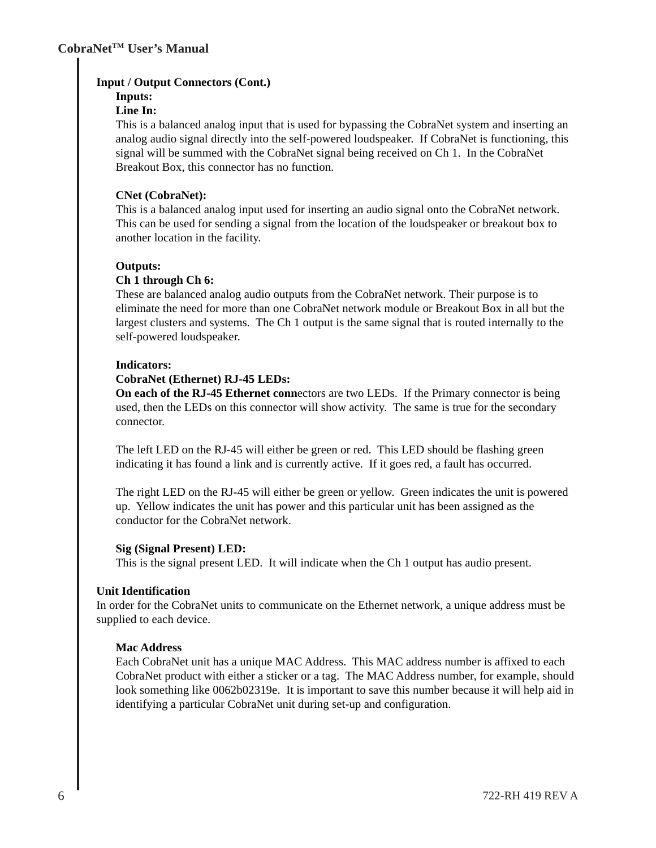#### **Input / Output Connectors (Cont.)**

#### **Inputs:**

#### **Line In:**

This is a balanced analog input that is used for bypassing the CobraNet system and inserting an analog audio signal directly into the self-powered loudspeaker. If CobraNet is functioning, this signal will be summed with the CobraNet signal being received on Ch 1. In the CobraNet Breakout Box, this connector has no function.

#### **CNet (CobraNet):**

This is a balanced analog input used for inserting an audio signal onto the CobraNet network. This can be used for sending a signal from the location of the loudspeaker or breakout box to another location in the facility.

#### **Outputs:**

#### **Ch 1 through Ch 6:**

These are balanced analog audio outputs from the CobraNet network. Their purpose is to eliminate the need for more than one CobraNet network module or Breakout Box in all but the largest clusters and systems. The Ch 1 output is the same signal that is routed internally to the self-powered loudspeaker.

#### **Indicators:**

#### **CobraNet (Ethernet) RJ-45 LEDs:**

**On each of the RJ-45 Ethernet conn**ectors are two LEDs. If the Primary connector is being used, then the LEDs on this connector will show activity. The same is true for the secondary connector.

The left LED on the RJ-45 will either be green or red. This LED should be flashing green indicating it has found a link and is currently active. If it goes red, a fault has occurred.

The right LED on the RJ-45 will either be green or yellow. Green indicates the unit is powered up. Yellow indicates the unit has power and this particular unit has been assigned as the conductor for the CobraNet network.

#### **Sig (Signal Present) LED:**

This is the signal present LED. It will indicate when the Ch 1 output has audio present.

#### **Unit Identification**

In order for the CobraNet units to communicate on the Ethernet network, a unique address must be supplied to each device.

#### **Mac Address**

Each CobraNet unit has a unique MAC Address. This MAC address number is affixed to each CobraNet product with either a sticker or a tag. The MAC Address number, for example, should look something like 0062b02319e. It is important to save this number because it will help aid in identifying a particular CobraNet unit during set-up and configuration.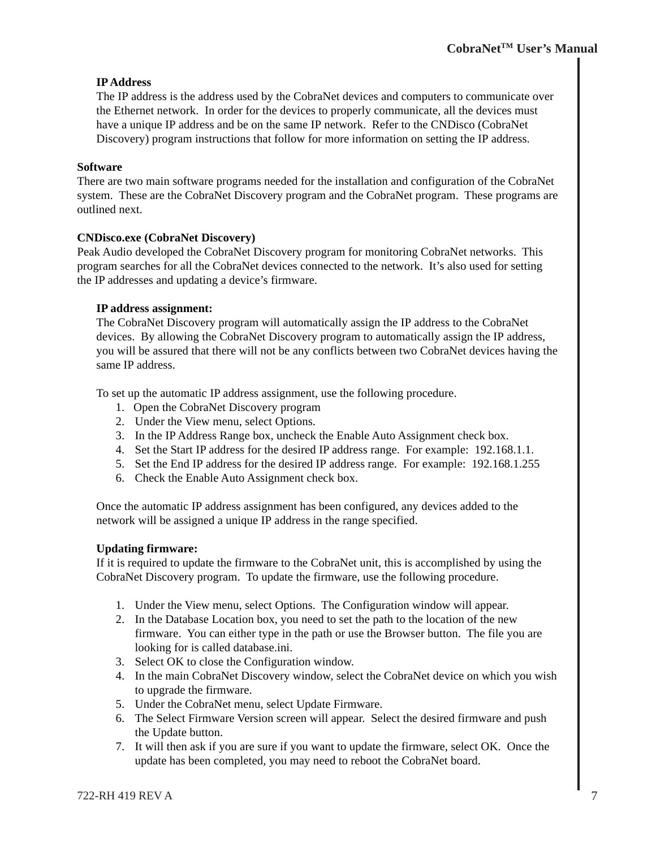#### **IP Address**

The IP address is the address used by the CobraNet devices and computers to communicate over the Ethernet network. In order for the devices to properly communicate, all the devices must have a unique IP address and be on the same IP network. Refer to the CNDisco (CobraNet Discovery) program instructions that follow for more information on setting the IP address.

#### **Software**

There are two main software programs needed for the installation and configuration of the CobraNet system. These are the CobraNet Discovery program and the CobraNet program. These programs are outlined next.

#### **CNDisco.exe (CobraNet Discovery)**

Peak Audio developed the CobraNet Discovery program for monitoring CobraNet networks. This program searches for all the CobraNet devices connected to the network. It's also used for setting the IP addresses and updating a device's firmware.

#### **IP address assignment:**

The CobraNet Discovery program will automatically assign the IP address to the CobraNet devices. By allowing the CobraNet Discovery program to automatically assign the IP address, you will be assured that there will not be any conflicts between two CobraNet devices having the same IP address.

To set up the automatic IP address assignment, use the following procedure.

- 1. Open the CobraNet Discovery program
- 2. Under the View menu, select Options.
- 3. In the IP Address Range box, uncheck the Enable Auto Assignment check box.
- 4. Set the Start IP address for the desired IP address range. For example: 192.168.1.1.
- 5. Set the End IP address for the desired IP address range. For example: 192.168.1.255
- 6. Check the Enable Auto Assignment check box.

Once the automatic IP address assignment has been configured, any devices added to the network will be assigned a unique IP address in the range specified.

#### **Updating firmware:**

If it is required to update the firmware to the CobraNet unit, this is accomplished by using the CobraNet Discovery program. To update the firmware, use the following procedure.

- 1. Under the View menu, select Options. The Configuration window will appear.
- 2. In the Database Location box, you need to set the path to the location of the new firmware. You can either type in the path or use the Browser button. The file you are looking for is called database.ini.
- 3. Select OK to close the Configuration window.
- 4. In the main CobraNet Discovery window, select the CobraNet device on which you wish to upgrade the firmware.
- 5. Under the CobraNet menu, select Update Firmware.
- 6. The Select Firmware Version screen will appear. Select the desired firmware and push the Update button.
- 7. It will then ask if you are sure if you want to update the firmware, select OK. Once the update has been completed, you may need to reboot the CobraNet board.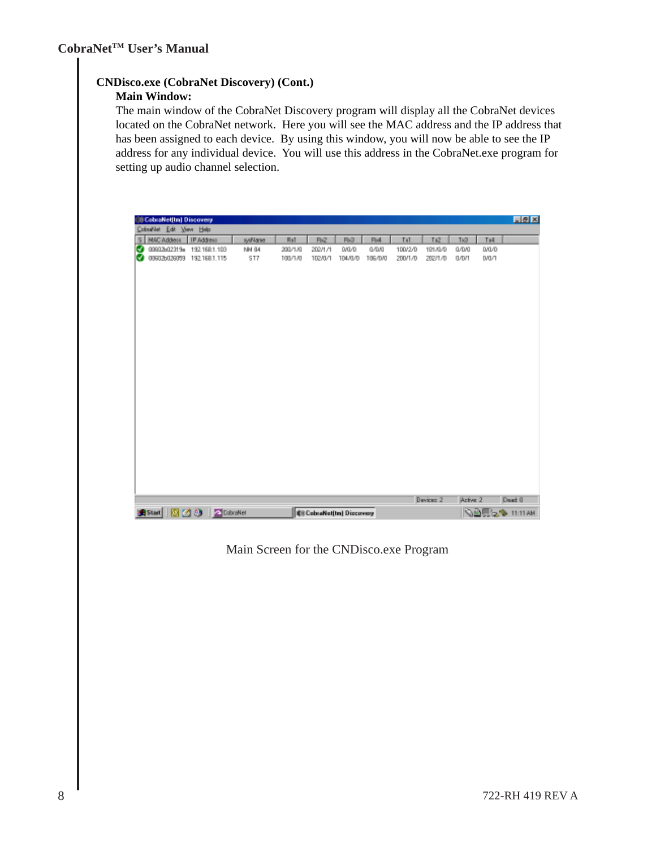### **CNDisco.exe (CobraNet Discovery) (Cont.)**

#### **Main Window:**

The main window of the CobraNet Discovery program will display all the CobraNet devices located on the CobraNet network. Here you will see the MAC address and the IP address that has been assigned to each device. By using this window, you will now be able to see the IP address for any individual device. You will use this address in the CobraNet.exe program for setting up audio channel selection.

|   | <b>III CobraNet[Im] Discovery</b><br>CobseNet Edit View Help |            |         |             |                                   |         |         |         |                  |          |       | 同例図                      |
|---|--------------------------------------------------------------|------------|---------|-------------|-----------------------------------|---------|---------|---------|------------------|----------|-------|--------------------------|
|   | 5 NAC Addess                                                 | IP Address | sysName | <b>Hull</b> | Rv2                               | Rv3     | Re4     | Til     | Ti2              | Tx3      | Te4   |                          |
| ⊌ | 00602602319a 192.168.1.103                                   |            | NN 84   | 200/170     | 202/171                           | 0/0/0   | 0/0/0   | 100/2/0 | 101/0/0          | 0/0/0    | D/D/D |                          |
|   | 00602b026059 192.168.1.115                                   |            | 517     | 100/1/0     | 102/0/1                           | 104/0/0 | 106/0/0 | 200/1/0 | 202/1/0          | 0/D/T    | DVD/T |                          |
|   |                                                              |            |         |             |                                   |         |         |         |                  |          |       |                          |
|   |                                                              |            |         |             |                                   |         |         |         |                  |          |       |                          |
|   |                                                              |            |         |             |                                   |         |         |         |                  |          |       |                          |
|   |                                                              |            |         |             |                                   |         |         |         |                  |          |       |                          |
|   |                                                              |            |         |             |                                   |         |         |         |                  |          |       |                          |
|   |                                                              |            |         |             |                                   |         |         |         |                  |          |       |                          |
|   |                                                              |            |         |             |                                   |         |         |         |                  |          |       |                          |
|   |                                                              |            |         |             |                                   |         |         |         |                  |          |       |                          |
|   |                                                              |            |         |             |                                   |         |         |         |                  |          |       |                          |
|   |                                                              |            |         |             |                                   |         |         |         |                  |          |       |                          |
|   |                                                              |            |         |             |                                   |         |         |         |                  |          |       |                          |
|   |                                                              |            |         |             |                                   |         |         |         |                  |          |       |                          |
|   |                                                              |            |         |             |                                   |         |         |         |                  |          |       |                          |
|   |                                                              |            |         |             |                                   |         |         |         |                  |          |       |                          |
|   |                                                              |            |         |             |                                   |         |         |         |                  |          |       |                          |
|   |                                                              |            |         |             |                                   |         |         |         |                  |          |       |                          |
|   |                                                              |            |         |             |                                   |         |         |         |                  |          |       |                          |
|   |                                                              |            |         |             |                                   |         |         |         |                  |          |       |                          |
|   |                                                              |            |         |             |                                   |         |         |         |                  |          |       |                          |
|   |                                                              |            |         |             |                                   |         |         |         |                  |          |       |                          |
|   |                                                              |            |         |             |                                   |         |         |         |                  |          |       |                          |
|   |                                                              |            |         |             |                                   |         |         |         |                  |          |       |                          |
|   |                                                              |            |         |             |                                   |         |         |         | <b>Devices 2</b> | Azfree 2 |       | Dead 0                   |
|   | 出Start   図 2 3   2 CobraNet                                  |            |         |             | <b>SE ColoraNet(Im) Discovery</b> |         |         |         |                  |          |       | <b>NATION</b> TELEVISION |

Main Screen for the CNDisco.exe Program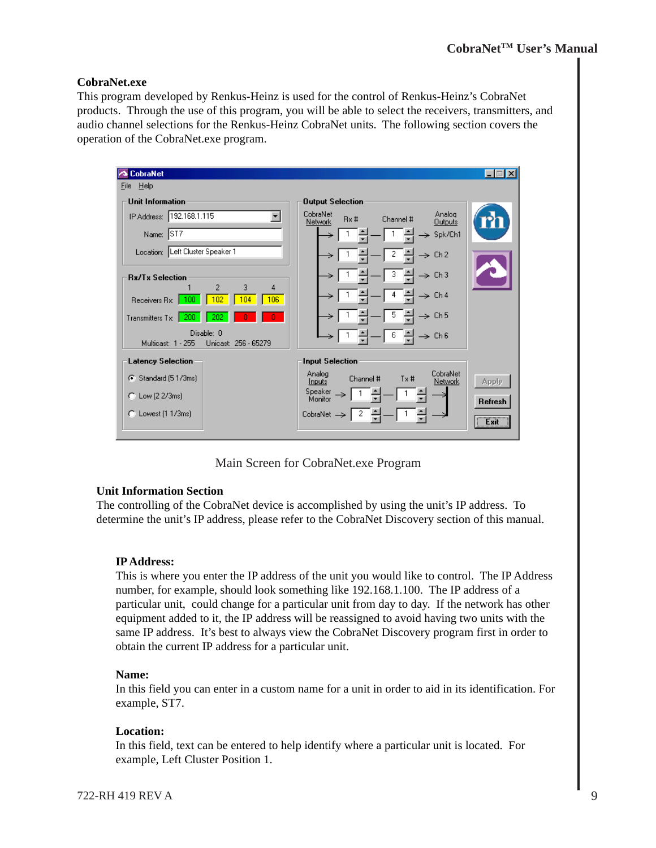#### **CobraNet.exe**

This program developed by Renkus-Heinz is used for the control of Renkus-Heinz's CobraNet products. Through the use of this program, you will be able to select the receivers, transmitters, and audio channel selections for the Renkus-Heinz CobraNet units. The following section covers the operation of the CobraNet.exe program.



Main Screen for CobraNet.exe Program

#### **Unit Information Section**

The controlling of the CobraNet device is accomplished by using the unit's IP address. To determine the unit's IP address, please refer to the CobraNet Discovery section of this manual.

#### **IP Address:**

This is where you enter the IP address of the unit you would like to control. The IP Address number, for example, should look something like 192.168.1.100. The IP address of a particular unit, could change for a particular unit from day to day. If the network has other equipment added to it, the IP address will be reassigned to avoid having two units with the same IP address. It's best to always view the CobraNet Discovery program first in order to obtain the current IP address for a particular unit.

#### **Name:**

In this field you can enter in a custom name for a unit in order to aid in its identification. For example, ST7.

#### **Location:**

In this field, text can be entered to help identify where a particular unit is located. For example, Left Cluster Position 1.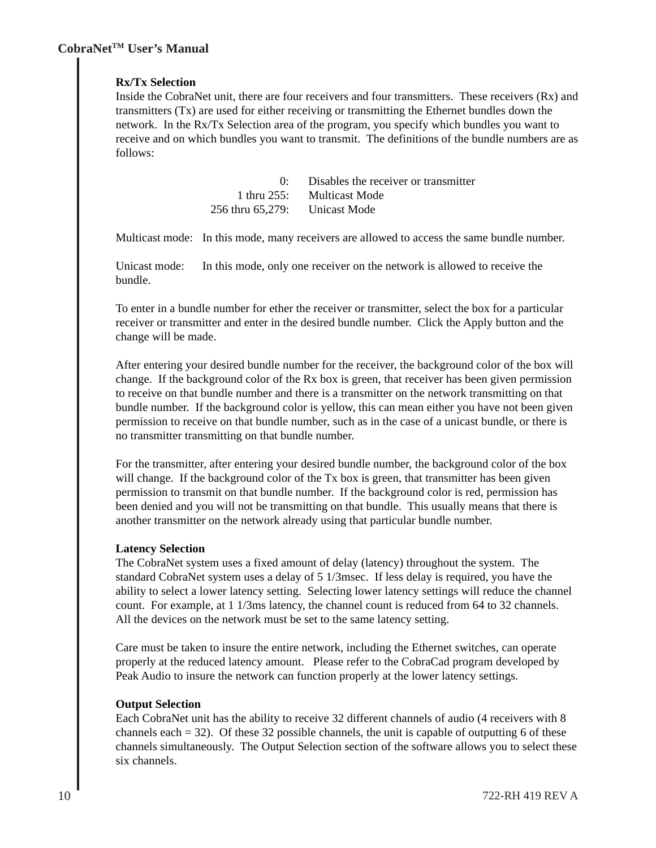#### **Rx/Tx Selection**

Inside the CobraNet unit, there are four receivers and four transmitters. These receivers (Rx) and transmitters (Tx) are used for either receiving or transmitting the Ethernet bundles down the network. In the Rx/Tx Selection area of the program, you specify which bundles you want to receive and on which bundles you want to transmit. The definitions of the bundle numbers are as follows:

|                               | 0: Disables the receiver or transmitter |
|-------------------------------|-----------------------------------------|
|                               | 1 thru 255: Multicast Mode              |
| 256 thru 65,279: Unicast Mode |                                         |

Multicast mode: In this mode, many receivers are allowed to access the same bundle number.

Unicast mode: In this mode, only one receiver on the network is allowed to receive the bundle.

To enter in a bundle number for ether the receiver or transmitter, select the box for a particular receiver or transmitter and enter in the desired bundle number. Click the Apply button and the change will be made.

After entering your desired bundle number for the receiver, the background color of the box will change. If the background color of the Rx box is green, that receiver has been given permission to receive on that bundle number and there is a transmitter on the network transmitting on that bundle number. If the background color is yellow, this can mean either you have not been given permission to receive on that bundle number, such as in the case of a unicast bundle, or there is no transmitter transmitting on that bundle number.

For the transmitter, after entering your desired bundle number, the background color of the box will change. If the background color of the Tx box is green, that transmitter has been given permission to transmit on that bundle number. If the background color is red, permission has been denied and you will not be transmitting on that bundle. This usually means that there is another transmitter on the network already using that particular bundle number.

#### **Latency Selection**

The CobraNet system uses a fixed amount of delay (latency) throughout the system. The standard CobraNet system uses a delay of 5 1/3msec. If less delay is required, you have the ability to select a lower latency setting. Selecting lower latency settings will reduce the channel count. For example, at 1 1/3ms latency, the channel count is reduced from 64 to 32 channels. All the devices on the network must be set to the same latency setting.

Care must be taken to insure the entire network, including the Ethernet switches, can operate properly at the reduced latency amount. Please refer to the CobraCad program developed by Peak Audio to insure the network can function properly at the lower latency settings.

#### **Output Selection**

Each CobraNet unit has the ability to receive 32 different channels of audio (4 receivers with 8 channels each  $= 32$ ). Of these 32 possible channels, the unit is capable of outputting 6 of these channels simultaneously. The Output Selection section of the software allows you to select these six channels.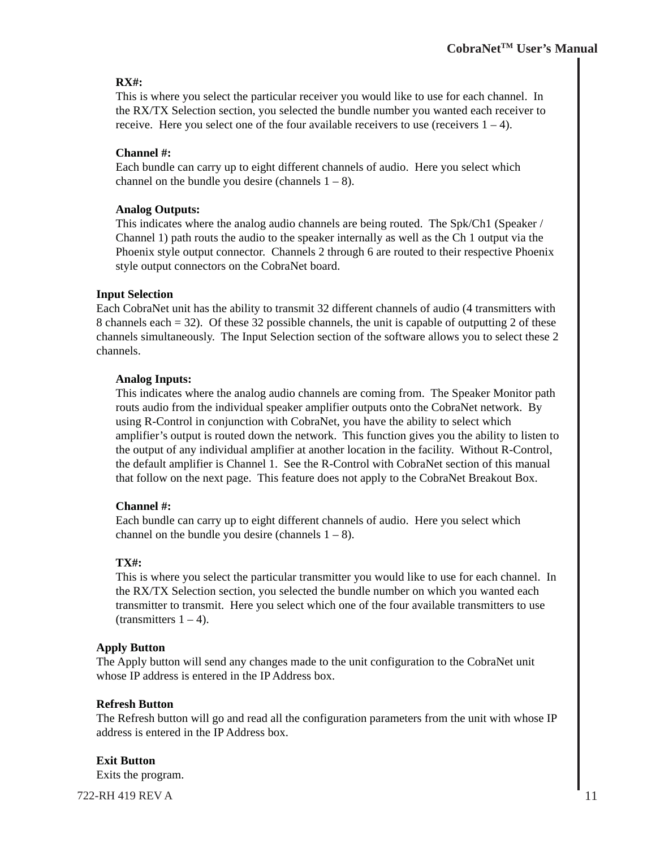#### **RX#:**

This is where you select the particular receiver you would like to use for each channel. In the RX/TX Selection section, you selected the bundle number you wanted each receiver to receive. Here you select one of the four available receivers to use (receivers  $1 - 4$ ).

#### **Channel #:**

Each bundle can carry up to eight different channels of audio. Here you select which channel on the bundle you desire (channels  $1 - 8$ ).

#### **Analog Outputs:**

This indicates where the analog audio channels are being routed. The Spk/Ch1 (Speaker / Channel 1) path routs the audio to the speaker internally as well as the Ch 1 output via the Phoenix style output connector. Channels 2 through 6 are routed to their respective Phoenix style output connectors on the CobraNet board.

#### **Input Selection**

Each CobraNet unit has the ability to transmit 32 different channels of audio (4 transmitters with 8 channels each  $= 32$ ). Of these 32 possible channels, the unit is capable of outputting 2 of these channels simultaneously. The Input Selection section of the software allows you to select these 2 channels.

#### **Analog Inputs:**

This indicates where the analog audio channels are coming from. The Speaker Monitor path routs audio from the individual speaker amplifier outputs onto the CobraNet network. By using R-Control in conjunction with CobraNet, you have the ability to select which amplifier's output is routed down the network. This function gives you the ability to listen to the output of any individual amplifier at another location in the facility. Without R-Control, the default amplifier is Channel 1. See the R-Control with CobraNet section of this manual that follow on the next page. This feature does not apply to the CobraNet Breakout Box.

#### **Channel #:**

Each bundle can carry up to eight different channels of audio. Here you select which channel on the bundle you desire (channels  $1 - 8$ ).

#### **TX#:**

This is where you select the particular transmitter you would like to use for each channel. In the RX/TX Selection section, you selected the bundle number on which you wanted each transmitter to transmit. Here you select which one of the four available transmitters to use  $(transmitters 1 – 4).$ 

#### **Apply Button**

The Apply button will send any changes made to the unit configuration to the CobraNet unit whose IP address is entered in the IP Address box.

#### **Refresh Button**

The Refresh button will go and read all the configuration parameters from the unit with whose IP address is entered in the IP Address box.

#### **Exit Button**

Exits the program.

722-RH 419 REV A